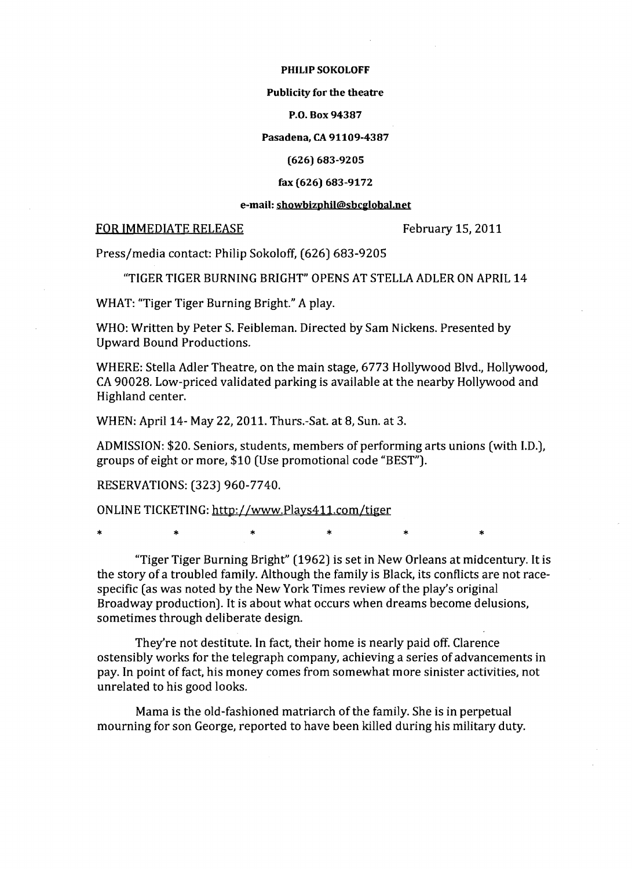### PHILIP SOKOLOFF

### Publicity for the theatre

P.O. Box 94387

Pasadena, CA 91109-4387

## (626) 683-9205

## fax (626) 683-9172

### e-mail: showbizphil@sbcglobaJ.net

# FOR IMMEDIATE RELEASE February 15, 2011

Press/media contact: Philip Sokoloff, (626) 683-9205

"TIGER TIGER BURNING BRIGHT" OPENS AT STELLA ADLER ON APRIL 14

WHAT: "Tiger Tiger Burning Bright." A play.

WHO: Written by Peter S. Feibleman. Directed by Sam Nickens. Presented by Upward Bound Productions.

WHERE: Stella Adler Theatre, on the main stage, 6773 Hollywood Blvd., Hollywood, CA 90028. Low-priced validated parking is available at the nearby Hollywood and Highland center.

WHEN: April 14- May 22,2011. Thurs.-Sat. at 8, Sun. at 3.

ADMISSION: \$20. Seniors, students, members of performing arts unions (with LD.), groups of eight or more, \$10 (Use promotional code "BEST").

RESERVATIONS: (323) 960-7740.

ONLINE TICKETING: http://www.Plays411.com/tiger

\* \* \* \* \* \* \* \* \*

"Tiger Tiger Burning Bright" (1962) is set in New Orleans at midcentury. It is the story of a troubled family. Although the family is Black, its conflicts are not racespecific (as was noted by the New York Times review of the play's original Broadway production). It is about what occurs when dreams become delusions, sometimes through deliberate design.

They're not destitute. In fact, their home is nearly paid off. Clarence ostensibly works for the telegraph company, achieving a series of advancements in pay. In point of fact, his money comes from somewhat more sinister activities, not unrelated to his good looks.

Mama is the old-fashioned matriarch of the family. She is in perpetual mourning for son George, reported to have been killed during his military duty.